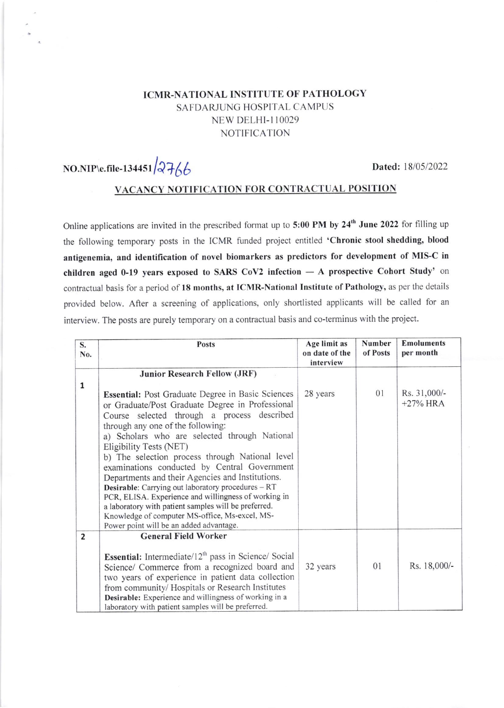## ICMR-NATIONAL INSTITUTE OF PATHOLOGY SAFDARJUNG HOSPITAL CAMPUS NEW DELHI-IIOO29 NOTIFICATION

NO.NIP\e.file-134451 $\sqrt{276}$ 

Dated: l8/05/2022

# VACANCY NOTIFICATION FOR CONTRACTUAL POSITION

Online applications are invited in the prescribed format up to 5:00 PM by 24'h June 2022 for filling up the following temporary posts in the ICMR funded project entitled 'Chronic stool shedding, blood antigenemia, and identification of novel biomarkers as predictors for development of MIS-C in children aged 0-19 years exposed to SARS CoV2 infection — A prospective Cohort Study' on contractual basis for a period of 18 months, at ICMR-National Institute of Pathology, as per the details provided below. After a screening of applications, only shortlisted applicants will be called for an interview. The posts are purely temporary on a contractual basis and co-terminus with the project.

| S.<br>No.               | <b>Posts</b>                                                                                                                                                                                                                                                                                                                                                                                                                                                                                                                                                                                                                                                                                           | Age limit as<br>on date of the<br>interview | Number<br>of Posts | <b>Emoluments</b><br>per month |
|-------------------------|--------------------------------------------------------------------------------------------------------------------------------------------------------------------------------------------------------------------------------------------------------------------------------------------------------------------------------------------------------------------------------------------------------------------------------------------------------------------------------------------------------------------------------------------------------------------------------------------------------------------------------------------------------------------------------------------------------|---------------------------------------------|--------------------|--------------------------------|
|                         | <b>Junior Research Fellow (JRF)</b>                                                                                                                                                                                                                                                                                                                                                                                                                                                                                                                                                                                                                                                                    |                                             |                    |                                |
| $\mathbf{1}$            |                                                                                                                                                                                                                                                                                                                                                                                                                                                                                                                                                                                                                                                                                                        |                                             |                    |                                |
|                         | <b>Essential:</b> Post Graduate Degree in Basic Sciences<br>or Graduate/Post Graduate Degree in Professional<br>Course selected through a process described<br>through any one of the following:<br>a) Scholars who are selected through National<br>Eligibility Tests (NET)<br>b) The selection process through National level<br>examinations conducted by Central Government<br>Departments and their Agencies and Institutions.<br>Desirable: Carrying out laboratory procedures - RT<br>PCR, ELISA. Experience and willingness of working in<br>a laboratory with patient samples will be preferred.<br>Knowledge of computer MS-office, Ms-excel, MS-<br>Power point will be an added advantage. | 28 years                                    | 01                 | Rs. 31,000/-<br>$+27%$ HRA     |
| $\overline{\mathbf{2}}$ | <b>General Field Worker</b>                                                                                                                                                                                                                                                                                                                                                                                                                                                                                                                                                                                                                                                                            |                                             |                    |                                |
|                         | <b>Essential:</b> Intermediate/ $12th$ pass in Science/ Social<br>Science/ Commerce from a recognized board and<br>two years of experience in patient data collection<br>from community/ Hospitals or Research Institutes<br>Desirable: Experience and willingness of working in a<br>laboratory with patient samples will be preferred.                                                                                                                                                                                                                                                                                                                                                               | 32 years                                    | 01                 | Rs. 18,000/-                   |